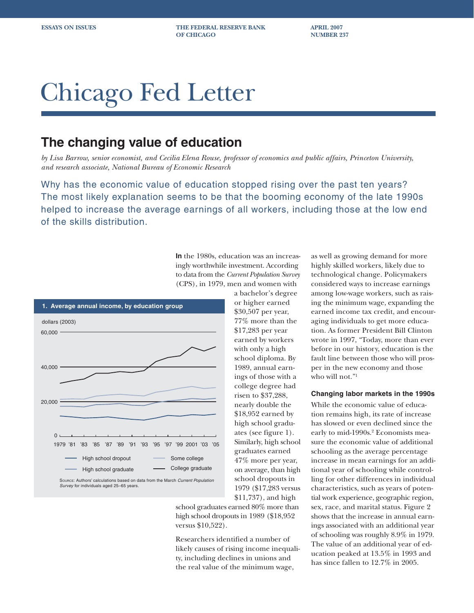**ESSAYS ON ISSUES THE FEDERAL RESERVE BANK APRIL 2007 OF CHICAGO NUMBER 237** 

# Chicago Fed Letter

# **The changing value of education**

*by Lisa Barrow, senior economist, and Cecilia Elena Rouse, professor of economics and public affairs, Princeton University, and research associate, National Bureau of Economic Research*

Why has the economic value of education stopped rising over the past ten years? The most likely explanation seems to be that the booming economy of the late 1990s helped to increase the average earnings of all workers, including those at the low end of the skills distribution.

> **In** the 1980s, education was an increasingly worthwhile investment. According to data from the *Current Population Survey* (CPS), in 1979, men and women with a bachelor's degree



or higher earned \$30,507 per year, 77% more than the \$17,283 per year earned by workers with only a high school diploma. By 1989, annual earnings of those with a college degree had risen to \$37,288, nearly double the \$18,952 earned by high school graduates (see figure 1). Similarly, high school graduates earned 47% more per year, on average, than high school dropouts in 1979 (\$17,283 versus \$11,737), and high

school graduates earned 80% more than high school dropouts in 1989 (\$18,952 versus \$10,522).

Researchers identified a number of likely causes of rising income inequality, including declines in unions and the real value of the minimum wage,

as well as growing demand for more highly skilled workers, likely due to technological change. Policymakers considered ways to increase earnings among low-wage workers, such as raising the minimum wage, expanding the earned income tax credit, and encouraging individuals to get more education. As former President Bill Clinton wrote in 1997, "Today, more than ever before in our history, education is the fault line between those who will prosper in the new economy and those who will not."<sup>1</sup>

## **Changing labor markets in the 1990s**

While the economic value of education remains high, its rate of increase has slowed or even declined since the early to mid-1990s.<sup>2</sup> Economists measure the economic value of additional schooling as the average percentage increase in mean earnings for an additional year of schooling while controlling for other differences in individual characteristics, such as years of potential work experience, geographic region, sex, race, and marital status. Figure 2 shows that the increase in annual earnings associated with an additional year of schooling was roughly 8.9% in 1979. The value of an additional year of education peaked at 13.5% in 1993 and has since fallen to 12.7% in 2005.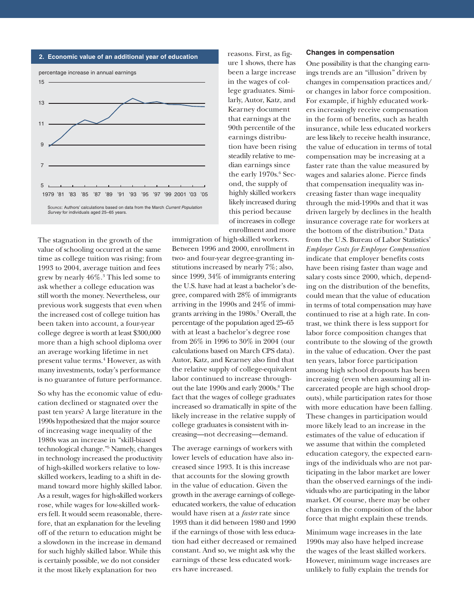

The stagnation in the growth of the value of schooling occurred at the same time as college tuition was rising; from 1993 to 2004, average tuition and fees grew by nearly 46%.3 This led some to ask whether a college education was still worth the money. Nevertheless, our previous work suggests that even when the increased cost of college tuition has been taken into account, a four-year college degree is worth at least \$300,000 more than a high school diploma over an average working lifetime in net present value terms.<sup>4</sup> However, as with many investments, today's performance is no guarantee of future performance.

So why has the economic value of education declined or stagnated over the past ten years? A large literature in the 1990s hypothesized that the major source of increasing wage inequality of the 1980s was an increase in "skill-biased technological change."5 Namely, changes in technology increased the productivity of high-skilled workers relative to lowskilled workers, leading to a shift in demand toward more highly skilled labor. As a result, wages for high-skilled workers rose, while wages for low-skilled workers fell. It would seem reasonable, therefore, that an explanation for the leveling off of the return to education might be a slowdown in the increase in demand for such highly skilled labor. While this is certainly possible, we do not consider it the most likely explanation for two

reasons. First, as figure 1 shows, there has been a large increase in the wages of college graduates. Similarly, Autor, Katz, and Kearney document that earnings at the 90th percentile of the earnings distribution have been rising steadily relative to median earnings since the early 1970s.<sup>6</sup> Second, the supply of highly skilled workers likely increased during this period because of increases in college enrollment and more

immigration of high-skilled workers. Between 1996 and 2000, enrollment in two- and four-year degree-granting institutions increased by nearly 7%; also, since 1999, 34% of immigrants entering the U.S. have had at least a bachelor's degree, compared with 28% of immigrants arriving in the 1990s and 24% of immigrants arriving in the 1980s.7 Overall, the percentage of the population aged 25–65 with at least a bachelor's degree rose from 26% in 1996 to 30% in 2004 (our calculations based on March CPS data). Autor, Katz, and Kearney also find that the relative supply of college-equivalent labor continued to increase throughout the late 1990s and early 2000s.<sup>8</sup> The fact that the wages of college graduates increased so dramatically in spite of the likely increase in the relative supply of college graduates is consistent with increasing—not decreasing—demand.

The average earnings of workers with lower levels of education have also increased since 1993. It is this increase that accounts for the slowing growth in the value of education. Given the growth in the average earnings of collegeeducated workers, the value of education would have risen at a *faster* rate since 1993 than it did between 1980 and 1990 if the earnings of those with less education had either decreased or remained constant. And so, we might ask why the earnings of these less educated workers have increased.

#### **Changes in compensation**

One possibility is that the changing earnings trends are an "illusion" driven by changes in compensation practices and/ or changes in labor force composition. For example, if highly educated workers increasingly receive compensation in the form of benefits, such as health insurance, while less educated workers are less likely to receive health insurance, the value of education in terms of total compensation may be increasing at a faster rate than the value measured by wages and salaries alone. Pierce finds that compensation inequality was increasing faster than wage inequality through the mid-1990s and that it was driven largely by declines in the health insurance coverage rate for workers at the bottom of the distribution.<sup>9</sup> Data from the U.S. Bureau of Labor Statistics' *Employer Costs for Employee Compensation* indicate that employer benefits costs have been rising faster than wage and salary costs since 2000, which, depending on the distribution of the benefits, could mean that the value of education in terms of total compensation may have continued to rise at a high rate. In contrast, we think there is less support for labor force composition changes that contribute to the slowing of the growth in the value of education. Over the past ten years, labor force participation among high school dropouts has been increasing (even when assuming all incarcerated people are high school dropouts), while participation rates for those with more education have been falling. These changes in participation would more likely lead to an increase in the estimates of the value of education if we assume that within the completed education category, the expected earnings of the individuals who are not participating in the labor market are lower than the observed earnings of the individuals who are participating in the labor market. Of course, there may be other changes in the composition of the labor force that might explain these trends.

Minimum wage increases in the late 1990s may also have helped increase the wages of the least skilled workers. However, minimum wage increases are unlikely to fully explain the trends for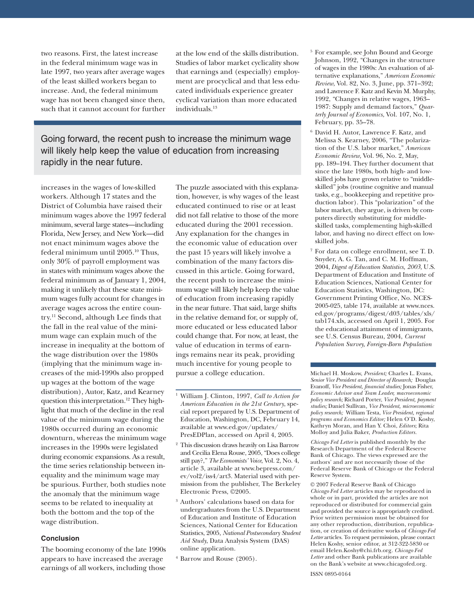two reasons. First, the latest increase in the federal minimum wage was in late 1997, two years after average wages of the least skilled workers began to increase. And, the federal minimum wage has not been changed since then, such that it cannot account for further at the low end of the skills distribution. Studies of labor market cyclicality show that earnings and (especially) employment are procyclical and that less educated individuals experience greater cyclical variation than more educated individuals.13

Going forward, the recent push to increase the minimum wage will likely help keep the value of education from increasing rapidly in the near future.

increases in the wages of low-skilled workers. Although 17 states and the District of Columbia have raised their minimum wages above the 1997 federal minimum, several large states—including Florida, New Jersey, and New York—did not enact minimum wages above the federal minimum until 2005.10 Thus, only 30% of payroll employment was in states with minimum wages above the federal minimum as of January 1, 2004, making it unlikely that these state minimum wages fully account for changes in average wages across the entire country.11 Second, although Lee finds that the fall in the real value of the minimum wage can explain much of the increase in inequality at the bottom of the wage distribution over the 1980s (implying that the minimum wage increases of the mid-1990s also propped up wages at the bottom of the wage distribution), Autor, Katz, and Kearney question this interpretation.<sup>12</sup> They highlight that much of the decline in the real value of the minimum wage during the 1980s occurred during an economic downturn, whereas the minimum wage increases in the 1990s were legislated during economic expansions. As a result, the time series relationship between inequality and the minimum wage may be spurious. Further, both studies note the anomaly that the minimum wage seems to be related to inequality at both the bottom and the top of the wage distribution.

### **Conclusion**

The booming economy of the late 1990s appears to have increased the average earnings of all workers, including those

The puzzle associated with this explanation, however, is why wages of the least educated continued to rise or at least did not fall relative to those of the more educated during the 2001 recession. Any explanation for the changes in the economic value of education over the past 15 years will likely involve a combination of the many factors discussed in this article. Going forward, the recent push to increase the minimum wage will likely help keep the value of education from increasing rapidly in the near future. That said, large shifts in the relative demand for, or supply of, more educated or less educated labor could change that. For now, at least, the value of education in terms of earnings remains near its peak, providing much incentive for young people to pursue a college education.

- <sup>1</sup> William J. Clinton, 1997, *Call to Action for American Education in the 21st Century*, special report prepared by U.S. Department of Education, Washington, DC, February 14, available at www.ed.gov/updates/ PresEDPlan, accessed on April 4, 2005.
- <sup>2</sup> This discussion draws heavily on Lisa Barrow and Cecilia Elena Rouse, 2005, "Does college still pay?," *The Economists' Voice*, Vol. 2, No. 4, article 3, available at www.bepress.com/ ev/vol2/iss4/art3. Material used with permission from the publisher, The Berkeley Electronic Press, ©2005.
- <sup>3</sup> Authors' calculations based on data for undergraduates from the U.S. Department of Education and Institute of Education Sciences, National Center for Education Statistics, 2005, *National Postsecondary Student Aid Study*, Data Analysis System (DAS) online application.
- <sup>4</sup> Barrow and Rouse (2005).
- <sup>5</sup> For example, see John Bound and George Johnson, 1992, "Changes in the structure of wages in the 1980s: An evaluation of alternative explanations," *American Economic Review*, Vol. 82, No. 3, June, pp. 371–392; and Lawrence F. Katz and Kevin M. Murphy, 1992, "Changes in relative wages, 1963– 1987: Supply and demand factors," *Quarterly Journal of Economics*, Vol. 107, No. 1, February, pp. 35–78.
- <sup>6</sup> David H. Autor, Lawrence F. Katz, and Melissa S. Kearney, 2006, "The polarization of the U.S. labor market," *American Economic Review*, Vol. 96, No. 2, May, pp. 189–194. They further document that since the late 1980s, both high- and lowskilled jobs have grown relative to "middleskilled" jobs (routine cognitive and manual tasks, e.g., bookkeeping and repetitive production labor). This "polarization" of the labor market, they argue, is driven by computers directly substituting for middleskilled tasks, complementing high-skilled labor, and having no direct effect on lowskilled jobs.
- <sup>7</sup> For data on college enrollment, see T. D. Snyder, A. G. Tan, and C. M. Hoffman, 2004, *Digest of Education Statistics, 2003*, U.S. Department of Education and Institute of Education Sciences, National Center for Education Statistics, Washington, DC: Government Printing Office, No. NCES-2005-025, table 174, available at www.nces. ed.gov/programs/digest/d03/tables/xls/ tab174.xls, accessed on April 1, 2005. For the educational attainment of immigrants, see U.S. Census Bureau, 2004, *Current Population Survey, Foreign-Born Population*

Michael H. Moskow, *President;* Charles L. Evans, *Senior Vice President and Director of Research;* Douglas Evanoff, *Vice President, financial studies;* Jonas Fisher, *Economic Advisor and Team Leader, macroeconomic policy research;* Richard Porter, *Vice President, payment studies;* Daniel Sullivan*, Vice President, microeconomic policy research;* William Testa, *Vice President, regional programs and Economics Editor;* Helen O'D. Koshy, Kathryn Moran, and Han Y. Choi, *Editors*; Rita Molloy and Julia Baker, *Production Editors.*

*Chicago Fed Letter* is published monthly by the Research Department of the Federal Reserve Bank of Chicago. The views expressed are the authors' and are not necessarily those of the Federal Reserve Bank of Chicago or the Federal Reserve System.

© 2007 Federal Reserve Bank of Chicago *Chicago Fed Letter* articles may be reproduced in whole or in part, provided the articles are not reproduced or distributed for commercial gain and provided the source is appropriately credited. Prior written permission must be obtained for any other reproduction, distribution, republication, or creation of derivative works of *Chicago Fed Letter* articles. To request permission, please contact Helen Koshy, senior editor, at 312-322-5830 or email Helen.Koshy@chi.frb.org. *Chicago Fed Letter* and other Bank publications are available on the Bank's website at www.chicagofed.org.

ISSN 0895-0164